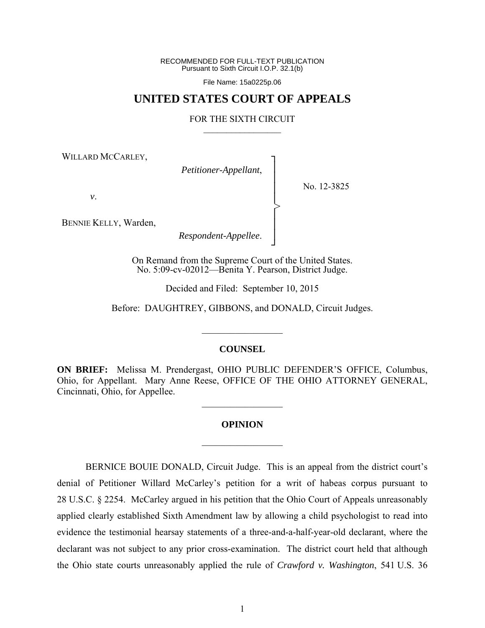RECOMMENDED FOR FULL-TEXT PUBLICATION Pursuant to Sixth Circuit I.O.P. 32.1(b)

File Name: 15a0225p.06

# **UNITED STATES COURT OF APPEALS**

## FOR THE SIXTH CIRCUIT  $\mathcal{L}_\text{max}$

┐ │ │ │ │ │ │ │ ┘

>

WILLARD MCCARLEY,

*Petitioner-Appellant*,

No. 12-3825

*v*.

BENNIE KELLY, Warden,

*Respondent-Appellee*.

On Remand from the Supreme Court of the United States. No. 5:09-cv-02012—Benita Y. Pearson, District Judge.

Decided and Filed: September 10, 2015

Before: DAUGHTREY, GIBBONS, and DONALD, Circuit Judges.

### **COUNSEL**

 $\frac{1}{2}$ 

**ON BRIEF:** Melissa M. Prendergast, OHIO PUBLIC DEFENDER'S OFFICE, Columbus, Ohio, for Appellant. Mary Anne Reese, OFFICE OF THE OHIO ATTORNEY GENERAL, Cincinnati, Ohio, for Appellee.

 $\frac{1}{2}$ 

# **OPINION**

 $\frac{1}{2}$ 

BERNICE BOUIE DONALD, Circuit Judge. This is an appeal from the district court's denial of Petitioner Willard McCarley's petition for a writ of habeas corpus pursuant to 28 U.S.C. § 2254. McCarley argued in his petition that the Ohio Court of Appeals unreasonably applied clearly established Sixth Amendment law by allowing a child psychologist to read into evidence the testimonial hearsay statements of a three-and-a-half-year-old declarant, where the declarant was not subject to any prior cross-examination. The district court held that although the Ohio state courts unreasonably applied the rule of *Crawford v. Washington*, 541 U.S. 36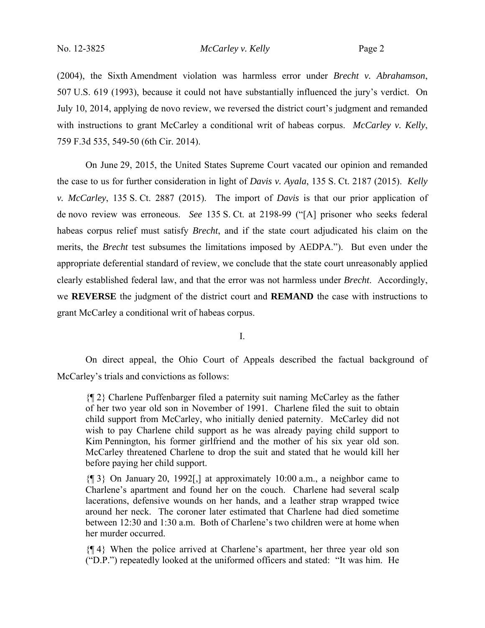(2004), the Sixth Amendment violation was harmless error under *Brecht v. Abrahamson*, 507 U.S. 619 (1993), because it could not have substantially influenced the jury's verdict. On July 10, 2014, applying de novo review, we reversed the district court's judgment and remanded with instructions to grant McCarley a conditional writ of habeas corpus. *McCarley v. Kelly*, 759 F.3d 535, 549-50 (6th Cir. 2014).

On June 29, 2015, the United States Supreme Court vacated our opinion and remanded the case to us for further consideration in light of *Davis v. Ayala*, 135 S. Ct. 2187 (2015). *Kelly v. McCarley*, 135 S. Ct. 2887 (2015). The import of *Davis* is that our prior application of de novo review was erroneous. *See* 135 S. Ct. at 2198-99 ("[A] prisoner who seeks federal habeas corpus relief must satisfy *Brecht*, and if the state court adjudicated his claim on the merits, the *Brecht* test subsumes the limitations imposed by AEDPA."). But even under the appropriate deferential standard of review, we conclude that the state court unreasonably applied clearly established federal law, and that the error was not harmless under *Brecht*. Accordingly, we **REVERSE** the judgment of the district court and **REMAND** the case with instructions to grant McCarley a conditional writ of habeas corpus.

I.

On direct appeal, the Ohio Court of Appeals described the factual background of McCarley's trials and convictions as follows:

{¶ 2} Charlene Puffenbarger filed a paternity suit naming McCarley as the father of her two year old son in November of 1991. Charlene filed the suit to obtain child support from McCarley, who initially denied paternity. McCarley did not wish to pay Charlene child support as he was already paying child support to Kim Pennington, his former girlfriend and the mother of his six year old son. McCarley threatened Charlene to drop the suit and stated that he would kill her before paying her child support.

{¶ 3} On January 20, 1992[,] at approximately 10:00 a.m., a neighbor came to Charlene's apartment and found her on the couch. Charlene had several scalp lacerations, defensive wounds on her hands, and a leather strap wrapped twice around her neck. The coroner later estimated that Charlene had died sometime between 12:30 and 1:30 a.m. Both of Charlene's two children were at home when her murder occurred.

{¶ 4} When the police arrived at Charlene's apartment, her three year old son ("D.P.") repeatedly looked at the uniformed officers and stated: "It was him. He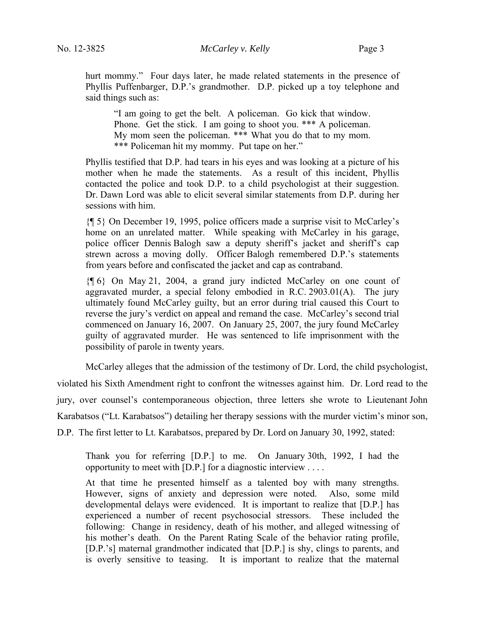hurt mommy." Four days later, he made related statements in the presence of Phyllis Puffenbarger, D.P.'s grandmother. D.P. picked up a toy telephone and said things such as:

"I am going to get the belt. A policeman. Go kick that window. Phone. Get the stick. I am going to shoot you. \*\*\* A policeman. My mom seen the policeman. \*\*\* What you do that to my mom. \*\*\* Policeman hit my mommy. Put tape on her."

Phyllis testified that D.P. had tears in his eyes and was looking at a picture of his mother when he made the statements. As a result of this incident, Phyllis contacted the police and took D.P. to a child psychologist at their suggestion. Dr. Dawn Lord was able to elicit several similar statements from D.P. during her sessions with him.

{¶ 5} On December 19, 1995, police officers made a surprise visit to McCarley's home on an unrelated matter. While speaking with McCarley in his garage, police officer Dennis Balogh saw a deputy sheriff's jacket and sheriff's cap strewn across a moving dolly. Officer Balogh remembered D.P.'s statements from years before and confiscated the jacket and cap as contraband.

{¶ 6} On May 21, 2004, a grand jury indicted McCarley on one count of aggravated murder, a special felony embodied in R.C. 2903.01(A). The jury ultimately found McCarley guilty, but an error during trial caused this Court to reverse the jury's verdict on appeal and remand the case. McCarley's second trial commenced on January 16, 2007. On January 25, 2007, the jury found McCarley guilty of aggravated murder. He was sentenced to life imprisonment with the possibility of parole in twenty years.

McCarley alleges that the admission of the testimony of Dr. Lord, the child psychologist, violated his Sixth Amendment right to confront the witnesses against him. Dr. Lord read to the jury, over counsel's contemporaneous objection, three letters she wrote to Lieutenant John Karabatsos ("Lt. Karabatsos") detailing her therapy sessions with the murder victim's minor son,

D.P. The first letter to Lt. Karabatsos, prepared by Dr. Lord on January 30, 1992, stated:

Thank you for referring [D.P.] to me. On January 30th, 1992, I had the opportunity to meet with [D.P.] for a diagnostic interview . . . .

At that time he presented himself as a talented boy with many strengths. However, signs of anxiety and depression were noted. Also, some mild developmental delays were evidenced. It is important to realize that [D.P.] has experienced a number of recent psychosocial stressors. These included the following: Change in residency, death of his mother, and alleged witnessing of his mother's death. On the Parent Rating Scale of the behavior rating profile, [D.P.'s] maternal grandmother indicated that [D.P.] is shy, clings to parents, and is overly sensitive to teasing. It is important to realize that the maternal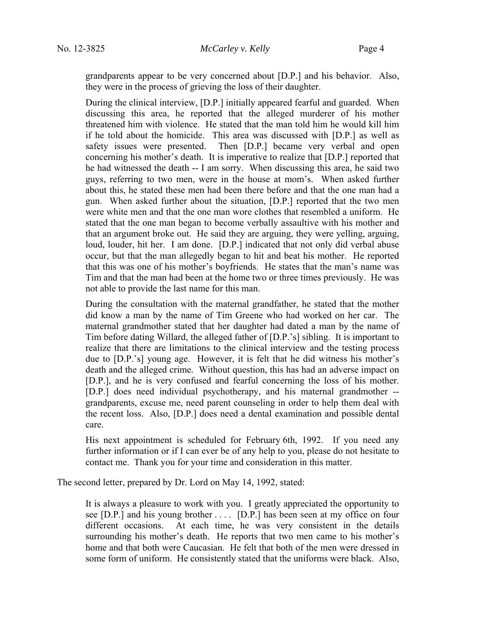grandparents appear to be very concerned about [D.P.] and his behavior. Also, they were in the process of grieving the loss of their daughter.

During the clinical interview, [D.P.] initially appeared fearful and guarded. When discussing this area, he reported that the alleged murderer of his mother threatened him with violence. He stated that the man told him he would kill him if he told about the homicide. This area was discussed with [D.P.] as well as safety issues were presented. Then [D.P.] became very verbal and open concerning his mother's death. It is imperative to realize that [D.P.] reported that he had witnessed the death -- I am sorry. When discussing this area, he said two guys, referring to two men, were in the house at mom's. When asked further about this, he stated these men had been there before and that the one man had a gun. When asked further about the situation, [D.P.] reported that the two men were white men and that the one man wore clothes that resembled a uniform. He stated that the one man began to become verbally assaultive with his mother and that an argument broke out. He said they are arguing, they were yelling, arguing, loud, louder, hit her. I am done. [D.P.] indicated that not only did verbal abuse occur, but that the man allegedly began to hit and beat his mother. He reported that this was one of his mother's boyfriends. He states that the man's name was Tim and that the man had been at the home two or three times previously. He was not able to provide the last name for this man.

During the consultation with the maternal grandfather, he stated that the mother did know a man by the name of Tim Greene who had worked on her car. The maternal grandmother stated that her daughter had dated a man by the name of Tim before dating Willard, the alleged father of [D.P.'s] sibling. It is important to realize that there are limitations to the clinical interview and the testing process due to [D.P.'s] young age. However, it is felt that he did witness his mother's death and the alleged crime. Without question, this has had an adverse impact on [D.P.], and he is very confused and fearful concerning the loss of his mother. [D.P.] does need individual psychotherapy, and his maternal grandmother - grandparents, excuse me, need parent counseling in order to help them deal with the recent loss. Also, [D.P.] does need a dental examination and possible dental care.

His next appointment is scheduled for February 6th, 1992. If you need any further information or if I can ever be of any help to you, please do not hesitate to contact me. Thank you for your time and consideration in this matter.

The second letter, prepared by Dr. Lord on May 14, 1992, stated:

It is always a pleasure to work with you. I greatly appreciated the opportunity to see [D.P.] and his young brother . . . . [D.P.] has been seen at my office on four different occasions. At each time, he was very consistent in the details surrounding his mother's death. He reports that two men came to his mother's home and that both were Caucasian. He felt that both of the men were dressed in some form of uniform. He consistently stated that the uniforms were black. Also,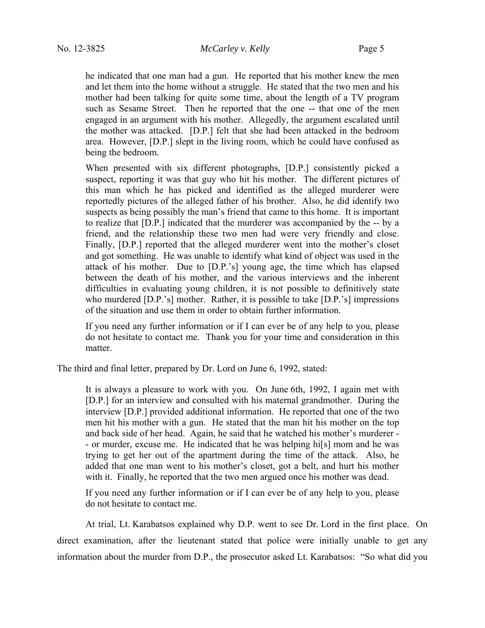he indicated that one man had a gun. He reported that his mother knew the men and let them into the home without a struggle. He stated that the two men and his mother had been talking for quite some time, about the length of a TV program such as Sesame Street. Then he reported that the one -- that one of the men engaged in an argument with his mother. Allegedly, the argument escalated until the mother was attacked. [D.P.] felt that she had been attacked in the bedroom area. However, [D.P.] slept in the living room, which he could have confused as being the bedroom.

When presented with six different photographs, [D.P.] consistently picked a suspect, reporting it was that guy who hit his mother. The different pictures of this man which he has picked and identified as the alleged murderer were reportedly pictures of the alleged father of his brother. Also, he did identify two suspects as being possibly the man's friend that came to this home. It is important to realize that [D.P.] indicated that the murderer was accompanied by the -- by a friend, and the relationship these two men had were very friendly and close. Finally, [D.P.] reported that the alleged murderer went into the mother's closet and got something. He was unable to identify what kind of object was used in the attack of his mother. Due to [D.P.'s] young age, the time which has elapsed between the death of his mother, and the various interviews and the inherent difficulties in evaluating young children, it is not possible to definitively state who murdered [D.P.'s] mother. Rather, it is possible to take [D.P.'s] impressions of the situation and use them in order to obtain further information.

If you need any further information or if I can ever be of any help to you, please do not hesitate to contact me. Thank you for your time and consideration in this matter.

The third and final letter, prepared by Dr. Lord on June 6, 1992, stated:

It is always a pleasure to work with you. On June 6th, 1992, I again met with [D.P.] for an interview and consulted with his maternal grandmother. During the interview [D.P.] provided additional information. He reported that one of the two men hit his mother with a gun. He stated that the man hit his mother on the top and back side of her head. Again, he said that he watched his mother's murderer - - or murder, excuse me. He indicated that he was helping hi[s] mom and he was trying to get her out of the apartment during the time of the attack. Also, he added that one man went to his mother's closet, got a belt, and hurt his mother with it. Finally, he reported that the two men argued once his mother was dead.

If you need any further information or if I can ever be of any help to you, please do not hesitate to contact me.

At trial, Lt. Karabatsos explained why D.P. went to see Dr. Lord in the first place. On direct examination, after the lieutenant stated that police were initially unable to get any information about the murder from D.P., the prosecutor asked Lt. Karabatsos: "So what did you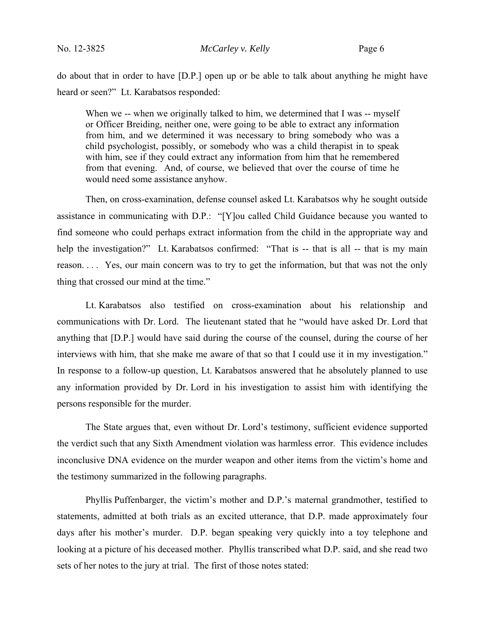do about that in order to have [D.P.] open up or be able to talk about anything he might have heard or seen?" Lt. Karabatsos responded:

When we -- when we originally talked to him, we determined that I was -- myself or Officer Breiding, neither one, were going to be able to extract any information from him, and we determined it was necessary to bring somebody who was a child psychologist, possibly, or somebody who was a child therapist in to speak with him, see if they could extract any information from him that he remembered from that evening. And, of course, we believed that over the course of time he would need some assistance anyhow.

Then, on cross-examination, defense counsel asked Lt. Karabatsos why he sought outside assistance in communicating with D.P.: "[Y]ou called Child Guidance because you wanted to find someone who could perhaps extract information from the child in the appropriate way and help the investigation?" Lt. Karabatsos confirmed: "That is -- that is all -- that is my main reason. . . . Yes, our main concern was to try to get the information, but that was not the only thing that crossed our mind at the time."

Lt. Karabatsos also testified on cross-examination about his relationship and communications with Dr. Lord. The lieutenant stated that he "would have asked Dr. Lord that anything that [D.P.] would have said during the course of the counsel, during the course of her interviews with him, that she make me aware of that so that I could use it in my investigation." In response to a follow-up question, Lt. Karabatsos answered that he absolutely planned to use any information provided by Dr. Lord in his investigation to assist him with identifying the persons responsible for the murder.

The State argues that, even without Dr. Lord's testimony, sufficient evidence supported the verdict such that any Sixth Amendment violation was harmless error. This evidence includes inconclusive DNA evidence on the murder weapon and other items from the victim's home and the testimony summarized in the following paragraphs.

Phyllis Puffenbarger, the victim's mother and D.P.'s maternal grandmother, testified to statements, admitted at both trials as an excited utterance, that D.P. made approximately four days after his mother's murder. D.P. began speaking very quickly into a toy telephone and looking at a picture of his deceased mother. Phyllis transcribed what D.P. said, and she read two sets of her notes to the jury at trial. The first of those notes stated: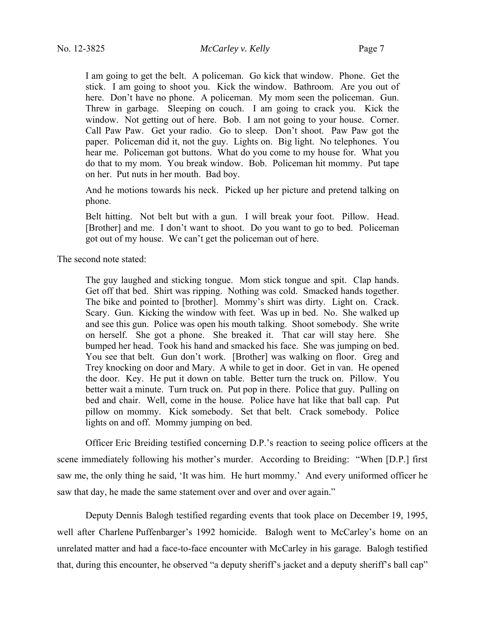I am going to get the belt. A policeman. Go kick that window. Phone. Get the stick. I am going to shoot you. Kick the window. Bathroom. Are you out of here. Don't have no phone. A policeman. My mom seen the policeman. Gun. Threw in garbage. Sleeping on couch. I am going to crack you. Kick the window. Not getting out of here. Bob. I am not going to your house. Corner. Call Paw Paw. Get your radio. Go to sleep. Don't shoot. Paw Paw got the paper. Policeman did it, not the guy. Lights on. Big light. No telephones. You hear me. Policeman got buttons. What do you come to my house for. What you do that to my mom. You break window. Bob. Policeman hit mommy. Put tape on her. Put nuts in her mouth. Bad boy.

And he motions towards his neck. Picked up her picture and pretend talking on phone.

Belt hitting. Not belt but with a gun. I will break your foot. Pillow. Head. [Brother] and me. I don't want to shoot. Do you want to go to bed. Policeman got out of my house. We can't get the policeman out of here.

The second note stated:

The guy laughed and sticking tongue. Mom stick tongue and spit. Clap hands. Get off that bed. Shirt was ripping. Nothing was cold. Smacked hands together. The bike and pointed to [brother]. Mommy's shirt was dirty. Light on. Crack. Scary. Gun. Kicking the window with feet. Was up in bed. No. She walked up and see this gun. Police was open his mouth talking. Shoot somebody. She write on herself. She got a phone. She breaked it. That car will stay here. She bumped her head. Took his hand and smacked his face. She was jumping on bed. You see that belt. Gun don't work. [Brother] was walking on floor. Greg and Trey knocking on door and Mary. A while to get in door. Get in van. He opened the door. Key. He put it down on table. Better turn the truck on. Pillow. You better wait a minute. Turn truck on. Put pop in there. Police that guy. Pulling on bed and chair. Well, come in the house. Police have hat like that ball cap. Put pillow on mommy. Kick somebody. Set that belt. Crack somebody. Police lights on and off. Mommy jumping on bed.

Officer Eric Breiding testified concerning D.P.'s reaction to seeing police officers at the scene immediately following his mother's murder. According to Breiding: "When [D.P.] first saw me, the only thing he said, 'It was him. He hurt mommy.' And every uniformed officer he saw that day, he made the same statement over and over and over again."

Deputy Dennis Balogh testified regarding events that took place on December 19, 1995, well after Charlene Puffenbarger's 1992 homicide. Balogh went to McCarley's home on an unrelated matter and had a face-to-face encounter with McCarley in his garage. Balogh testified that, during this encounter, he observed "a deputy sheriff's jacket and a deputy sheriff's ball cap"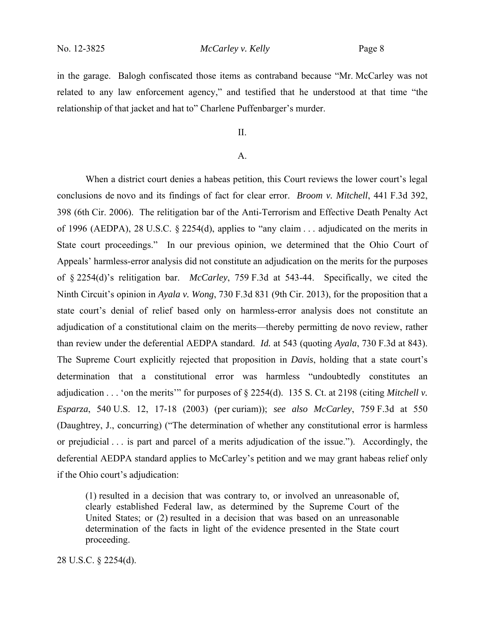in the garage. Balogh confiscated those items as contraband because "Mr. McCarley was not related to any law enforcement agency," and testified that he understood at that time "the relationship of that jacket and hat to" Charlene Puffenbarger's murder.

II.

# A.

When a district court denies a habeas petition, this Court reviews the lower court's legal conclusions de novo and its findings of fact for clear error. *Broom v. Mitchell*, 441 F.3d 392, 398 (6th Cir. 2006). The relitigation bar of the Anti-Terrorism and Effective Death Penalty Act of 1996 (AEDPA), 28 U.S.C. § 2254(d), applies to "any claim . . . adjudicated on the merits in State court proceedings." In our previous opinion, we determined that the Ohio Court of Appeals' harmless-error analysis did not constitute an adjudication on the merits for the purposes of § 2254(d)'s relitigation bar. *McCarley*, 759 F.3d at 543-44. Specifically, we cited the Ninth Circuit's opinion in *Ayala v. Wong*, 730 F.3d 831 (9th Cir. 2013), for the proposition that a state court's denial of relief based only on harmless-error analysis does not constitute an adjudication of a constitutional claim on the merits—thereby permitting de novo review, rather than review under the deferential AEDPA standard. *Id.* at 543 (quoting *Ayala*, 730 F.3d at 843). The Supreme Court explicitly rejected that proposition in *Davis*, holding that a state court's determination that a constitutional error was harmless "undoubtedly constitutes an adjudication . . . 'on the merits'" for purposes of § 2254(d). 135 S. Ct. at 2198 (citing *Mitchell v. Esparza*, 540 U.S. 12, 17-18 (2003) (per curiam)); *see also McCarley*, 759 F.3d at 550 (Daughtrey, J., concurring) ("The determination of whether any constitutional error is harmless or prejudicial . . . is part and parcel of a merits adjudication of the issue."). Accordingly, the deferential AEDPA standard applies to McCarley's petition and we may grant habeas relief only if the Ohio court's adjudication:

(1) resulted in a decision that was contrary to, or involved an unreasonable of, clearly established Federal law, as determined by the Supreme Court of the United States; or (2) resulted in a decision that was based on an unreasonable determination of the facts in light of the evidence presented in the State court proceeding.

28 U.S.C. § 2254(d).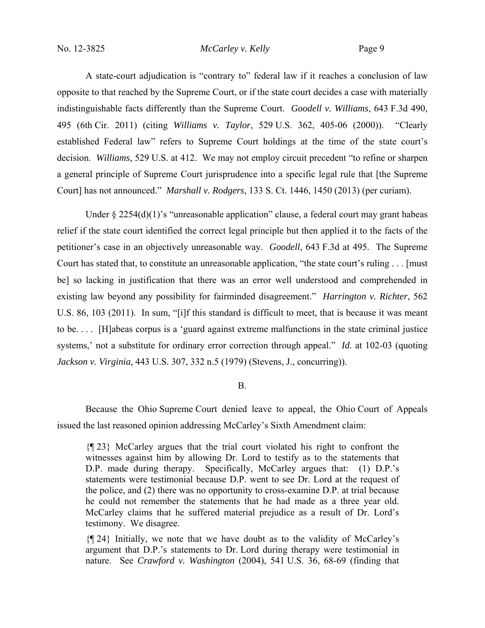A state-court adjudication is "contrary to" federal law if it reaches a conclusion of law opposite to that reached by the Supreme Court, or if the state court decides a case with materially indistinguishable facts differently than the Supreme Court. *Goodell v. Williams*, 643 F.3d 490, 495 (6th Cir. 2011) (citing *Williams v. Taylor*, 529 U.S. 362, 405-06 (2000)). "Clearly established Federal law" refers to Supreme Court holdings at the time of the state court's decision. *Williams*, 529 U.S. at 412. We may not employ circuit precedent "to refine or sharpen a general principle of Supreme Court jurisprudence into a specific legal rule that [the Supreme Court] has not announced." *Marshall v. Rodgers*, 133 S. Ct. 1446, 1450 (2013) (per curiam).

Under  $\S 2254(d)(1)$ 's "unreasonable application" clause, a federal court may grant habeas relief if the state court identified the correct legal principle but then applied it to the facts of the petitioner's case in an objectively unreasonable way. *Goodell*, 643 F.3d at 495. The Supreme Court has stated that, to constitute an unreasonable application, "the state court's ruling . . . [must be] so lacking in justification that there was an error well understood and comprehended in existing law beyond any possibility for fairminded disagreement." *Harrington v. Richter*, 562 U.S. 86, 103 (2011). In sum, "[i]f this standard is difficult to meet, that is because it was meant to be. . . . [H]abeas corpus is a 'guard against extreme malfunctions in the state criminal justice systems,' not a substitute for ordinary error correction through appeal." *Id.* at 102-03 (quoting *Jackson v. Virginia*, 443 U.S. 307, 332 n.5 (1979) (Stevens, J., concurring)).

# B.

Because the Ohio Supreme Court denied leave to appeal, the Ohio Court of Appeals issued the last reasoned opinion addressing McCarley's Sixth Amendment claim:

{¶ 23} McCarley argues that the trial court violated his right to confront the witnesses against him by allowing Dr. Lord to testify as to the statements that D.P. made during therapy. Specifically, McCarley argues that: (1) D.P.'s statements were testimonial because D.P. went to see Dr. Lord at the request of the police, and (2) there was no opportunity to cross-examine D.P. at trial because he could not remember the statements that he had made as a three year old. McCarley claims that he suffered material prejudice as a result of Dr. Lord's testimony. We disagree.

{¶ 24} Initially, we note that we have doubt as to the validity of McCarley's argument that D.P.'s statements to Dr. Lord during therapy were testimonial in nature. See *Crawford v. Washington* (2004), 541 U.S. 36, 68-69 (finding that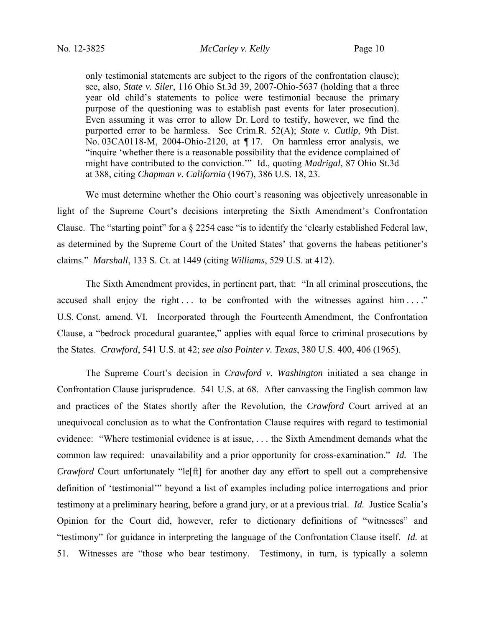only testimonial statements are subject to the rigors of the confrontation clause); see, also, *State v. Siler*, 116 Ohio St.3d 39, 2007-Ohio-5637 (holding that a three year old child's statements to police were testimonial because the primary purpose of the questioning was to establish past events for later prosecution). Even assuming it was error to allow Dr. Lord to testify, however, we find the purported error to be harmless. See Crim.R. 52(A); *State v. Cutlip*, 9th Dist. No. 03CA0118-M, 2004-Ohio-2120, at ¶ 17. On harmless error analysis, we "inquire 'whether there is a reasonable possibility that the evidence complained of might have contributed to the conviction.'" Id., quoting *Madrigal*, 87 Ohio St.3d at 388, citing *Chapman v. California* (1967), 386 U.S. 18, 23.

We must determine whether the Ohio court's reasoning was objectively unreasonable in light of the Supreme Court's decisions interpreting the Sixth Amendment's Confrontation Clause. The "starting point" for a § 2254 case "is to identify the 'clearly established Federal law, as determined by the Supreme Court of the United States' that governs the habeas petitioner's claims." *Marshall*, 133 S. Ct. at 1449 (citing *Williams*, 529 U.S. at 412).

The Sixth Amendment provides, in pertinent part, that: "In all criminal prosecutions, the accused shall enjoy the right  $\dots$  to be confronted with the witnesses against him  $\dots$ ." U.S. Const. amend. VI. Incorporated through the Fourteenth Amendment, the Confrontation Clause, a "bedrock procedural guarantee," applies with equal force to criminal prosecutions by the States. *Crawford*, 541 U.S. at 42; *see also Pointer v. Texas*, 380 U.S. 400, 406 (1965).

The Supreme Court's decision in *Crawford v. Washington* initiated a sea change in Confrontation Clause jurisprudence. 541 U.S. at 68. After canvassing the English common law and practices of the States shortly after the Revolution, the *Crawford* Court arrived at an unequivocal conclusion as to what the Confrontation Clause requires with regard to testimonial evidence: "Where testimonial evidence is at issue, . . . the Sixth Amendment demands what the common law required: unavailability and a prior opportunity for cross-examination." *Id.* The *Crawford* Court unfortunately "le<sup>[ft]</sup> for another day any effort to spell out a comprehensive definition of 'testimonial'" beyond a list of examples including police interrogations and prior testimony at a preliminary hearing, before a grand jury, or at a previous trial. *Id.* Justice Scalia's Opinion for the Court did, however, refer to dictionary definitions of "witnesses" and "testimony" for guidance in interpreting the language of the Confrontation Clause itself. *Id.* at 51. Witnesses are "those who bear testimony. Testimony, in turn, is typically a solemn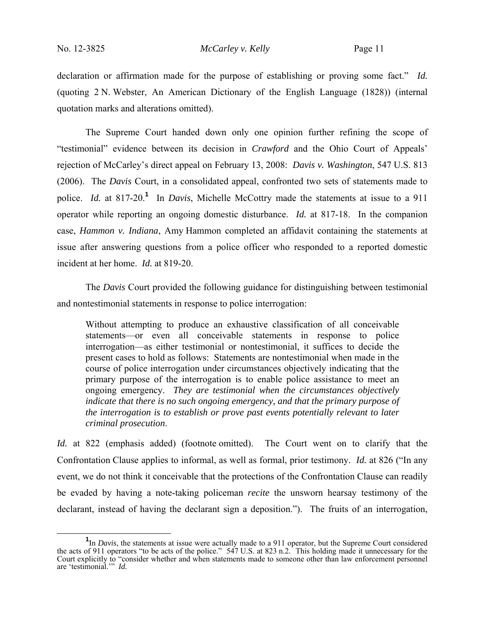declaration or affirmation made for the purpose of establishing or proving some fact." *Id.* (quoting 2 N. Webster, An American Dictionary of the English Language (1828)) (internal quotation marks and alterations omitted).

The Supreme Court handed down only one opinion further refining the scope of "testimonial" evidence between its decision in *Crawford* and the Ohio Court of Appeals' rejection of McCarley's direct appeal on February 13, 2008: *Davis v. Washington*, 547 U.S. 813 (2006). The *Davis* Court, in a consolidated appeal, confronted two sets of statements made to police. *Id.* at 817-20.**<sup>1</sup>** In *Davis*, Michelle McCottry made the statements at issue to a 911 operator while reporting an ongoing domestic disturbance. *Id.* at 817-18. In the companion case, *Hammon v. Indiana*, Amy Hammon completed an affidavit containing the statements at issue after answering questions from a police officer who responded to a reported domestic incident at her home. *Id.* at 819-20.

The *Davis* Court provided the following guidance for distinguishing between testimonial and nontestimonial statements in response to police interrogation:

Without attempting to produce an exhaustive classification of all conceivable statements—or even all conceivable statements in response to police interrogation—as either testimonial or nontestimonial, it suffices to decide the present cases to hold as follows: Statements are nontestimonial when made in the course of police interrogation under circumstances objectively indicating that the primary purpose of the interrogation is to enable police assistance to meet an ongoing emergency. *They are testimonial when the circumstances objectively indicate that there is no such ongoing emergency, and that the primary purpose of the interrogation is to establish or prove past events potentially relevant to later criminal prosecution*.

*Id.* at 822 (emphasis added) (footnote omitted). The Court went on to clarify that the Confrontation Clause applies to informal, as well as formal, prior testimony. *Id.* at 826 ("In any event, we do not think it conceivable that the protections of the Confrontation Clause can readily be evaded by having a note-taking policeman *recite* the unsworn hearsay testimony of the declarant, instead of having the declarant sign a deposition."). The fruits of an interrogation,

**<sup>1</sup>** <sup>1</sup>In *Davis*, the statements at issue were actually made to a 911 operator, but the Supreme Court considered the acts of 911 operators "to be acts of the police." 547 U.S. at 823 n.2. This holding made it unnecessary for the Court explicitly to "consider whether and when statements made to someone other than law enforcement personnel are 'testimonial.'" *Id.*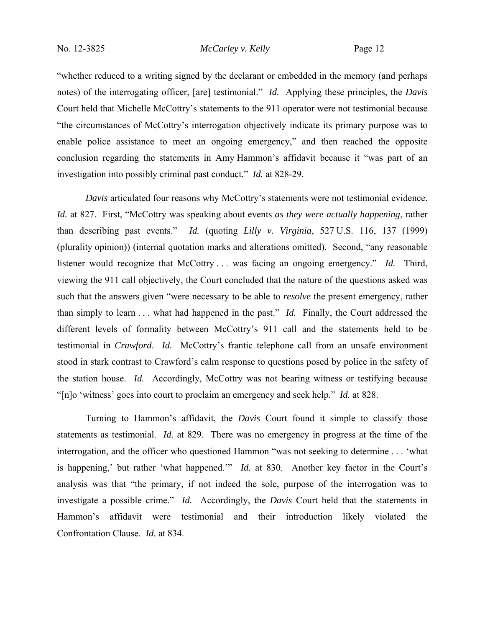"whether reduced to a writing signed by the declarant or embedded in the memory (and perhaps notes) of the interrogating officer, [are] testimonial." *Id.* Applying these principles, the *Davis* Court held that Michelle McCottry's statements to the 911 operator were not testimonial because "the circumstances of McCottry's interrogation objectively indicate its primary purpose was to enable police assistance to meet an ongoing emergency," and then reached the opposite conclusion regarding the statements in Amy Hammon's affidavit because it "was part of an investigation into possibly criminal past conduct." *Id.* at 828-29.

*Davis* articulated four reasons why McCottry's statements were not testimonial evidence. *Id.* at 827. First, "McCottry was speaking about events *as they were actually happening*, rather than describing past events." *Id.* (quoting *Lilly v. Virginia*, 527 U.S. 116, 137 (1999) (plurality opinion)) (internal quotation marks and alterations omitted). Second, "any reasonable listener would recognize that McCottry . . . was facing an ongoing emergency." *Id.* Third, viewing the 911 call objectively, the Court concluded that the nature of the questions asked was such that the answers given "were necessary to be able to *resolve* the present emergency, rather than simply to learn . . . what had happened in the past." *Id.* Finally, the Court addressed the different levels of formality between McCottry's 911 call and the statements held to be testimonial in *Crawford*. *Id.* McCottry's frantic telephone call from an unsafe environment stood in stark contrast to Crawford's calm response to questions posed by police in the safety of the station house. *Id.* Accordingly, McCottry was not bearing witness or testifying because "[n]o 'witness' goes into court to proclaim an emergency and seek help." *Id.* at 828.

Turning to Hammon's affidavit, the *Davis* Court found it simple to classify those statements as testimonial. *Id.* at 829. There was no emergency in progress at the time of the interrogation, and the officer who questioned Hammon "was not seeking to determine . . . 'what is happening,' but rather 'what happened.'" *Id.* at 830. Another key factor in the Court's analysis was that "the primary, if not indeed the sole, purpose of the interrogation was to investigate a possible crime." *Id.* Accordingly, the *Davis* Court held that the statements in Hammon's affidavit were testimonial and their introduction likely violated the Confrontation Clause. *Id.* at 834.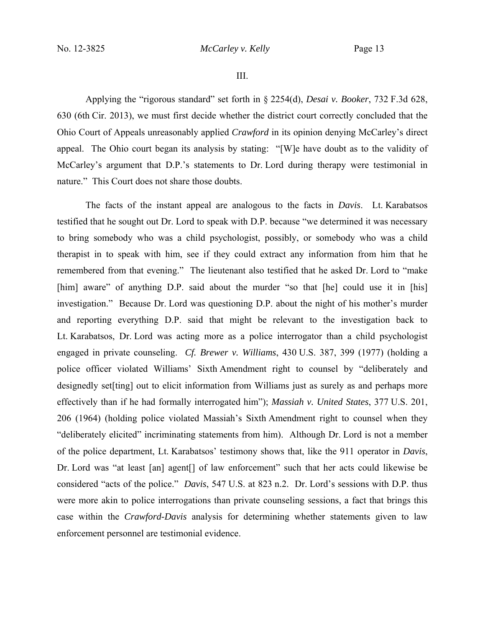III.

Applying the "rigorous standard" set forth in § 2254(d), *Desai v. Booker*, 732 F.3d 628, 630 (6th Cir. 2013), we must first decide whether the district court correctly concluded that the Ohio Court of Appeals unreasonably applied *Crawford* in its opinion denying McCarley's direct appeal. The Ohio court began its analysis by stating: "[W]e have doubt as to the validity of McCarley's argument that D.P.'s statements to Dr. Lord during therapy were testimonial in nature." This Court does not share those doubts.

The facts of the instant appeal are analogous to the facts in *Davis*. Lt. Karabatsos testified that he sought out Dr. Lord to speak with D.P. because "we determined it was necessary to bring somebody who was a child psychologist, possibly, or somebody who was a child therapist in to speak with him, see if they could extract any information from him that he remembered from that evening." The lieutenant also testified that he asked Dr. Lord to "make [him] aware" of anything D.P. said about the murder "so that [he] could use it in [his] investigation." Because Dr. Lord was questioning D.P. about the night of his mother's murder and reporting everything D.P. said that might be relevant to the investigation back to Lt. Karabatsos, Dr. Lord was acting more as a police interrogator than a child psychologist engaged in private counseling. *Cf. Brewer v. Williams*, 430 U.S. 387, 399 (1977) (holding a police officer violated Williams' Sixth Amendment right to counsel by "deliberately and designedly set [ting] out to elicit information from Williams just as surely as and perhaps more effectively than if he had formally interrogated him"); *Massiah v. United States*, 377 U.S. 201, 206 (1964) (holding police violated Massiah's Sixth Amendment right to counsel when they "deliberately elicited" incriminating statements from him). Although Dr. Lord is not a member of the police department, Lt. Karabatsos' testimony shows that, like the 911 operator in *Davis*, Dr. Lord was "at least [an] agent<sup>[]</sup> of law enforcement" such that her acts could likewise be considered "acts of the police." *Davis*, 547 U.S. at 823 n.2. Dr. Lord's sessions with D.P. thus were more akin to police interrogations than private counseling sessions, a fact that brings this case within the *Crawford-Davis* analysis for determining whether statements given to law enforcement personnel are testimonial evidence.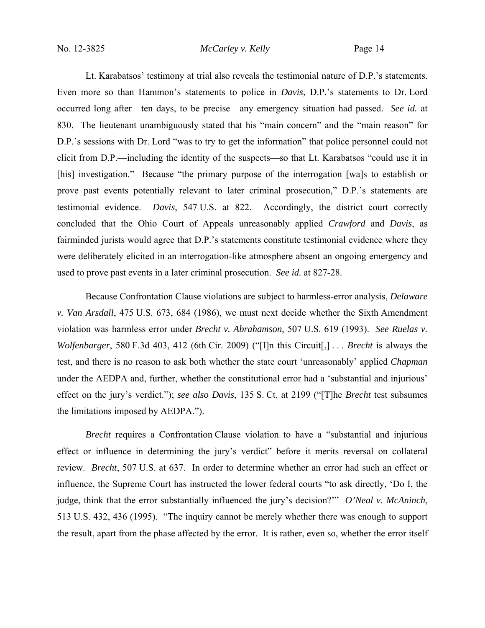Lt. Karabatsos' testimony at trial also reveals the testimonial nature of D.P.'s statements. Even more so than Hammon's statements to police in *Davis*, D.P.'s statements to Dr. Lord occurred long after—ten days, to be precise—any emergency situation had passed. *See id.* at 830. The lieutenant unambiguously stated that his "main concern" and the "main reason" for D.P.'s sessions with Dr. Lord "was to try to get the information" that police personnel could not elicit from D.P.—including the identity of the suspects—so that Lt. Karabatsos "could use it in [his] investigation." Because "the primary purpose of the interrogation [wa]s to establish or prove past events potentially relevant to later criminal prosecution," D.P.'s statements are testimonial evidence. *Davis*, 547 U.S. at 822. Accordingly, the district court correctly concluded that the Ohio Court of Appeals unreasonably applied *Crawford* and *Davis*, as fairminded jurists would agree that D.P.'s statements constitute testimonial evidence where they were deliberately elicited in an interrogation-like atmosphere absent an ongoing emergency and used to prove past events in a later criminal prosecution. *See id.* at 827-28.

Because Confrontation Clause violations are subject to harmless-error analysis, *Delaware v. Van Arsdall*, 475 U.S. 673, 684 (1986), we must next decide whether the Sixth Amendment violation was harmless error under *Brecht v. Abrahamson*, 507 U.S. 619 (1993). *See Ruelas v. Wolfenbarger*, 580 F.3d 403, 412 (6th Cir. 2009) ("[I]n this Circuit[,] . . . *Brecht* is always the test, and there is no reason to ask both whether the state court 'unreasonably' applied *Chapman* under the AEDPA and, further, whether the constitutional error had a 'substantial and injurious' effect on the jury's verdict."); *see also Davis*, 135 S. Ct. at 2199 ("[T]he *Brecht* test subsumes the limitations imposed by AEDPA.").

*Brecht* requires a Confrontation Clause violation to have a "substantial and injurious effect or influence in determining the jury's verdict" before it merits reversal on collateral review. *Brecht*, 507 U.S. at 637. In order to determine whether an error had such an effect or influence, the Supreme Court has instructed the lower federal courts "to ask directly, 'Do I, the judge, think that the error substantially influenced the jury's decision?'" *O'Neal v. McAninch*, 513 U.S. 432, 436 (1995). "The inquiry cannot be merely whether there was enough to support the result, apart from the phase affected by the error. It is rather, even so, whether the error itself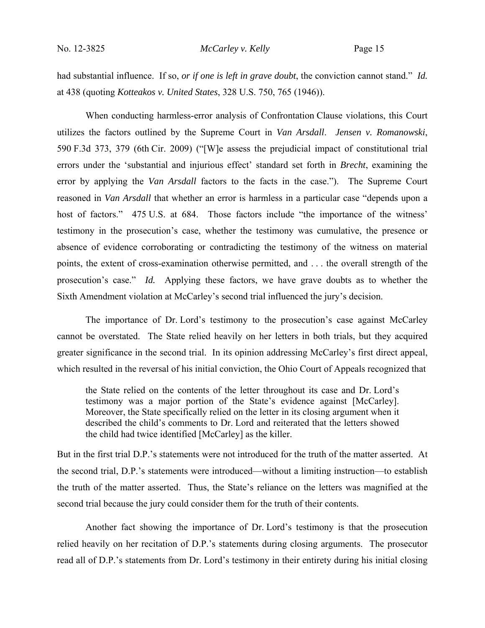had substantial influence. If so, *or if one is left in grave doubt*, the conviction cannot stand." *Id.* at 438 (quoting *Kotteakos v. United States*, 328 U.S. 750, 765 (1946)).

When conducting harmless-error analysis of Confrontation Clause violations, this Court utilizes the factors outlined by the Supreme Court in *Van Arsdall*. *Jensen v. Romanowski*, 590 F.3d 373, 379 (6th Cir. 2009) ("[W]e assess the prejudicial impact of constitutional trial errors under the 'substantial and injurious effect' standard set forth in *Brecht*, examining the error by applying the *Van Arsdall* factors to the facts in the case."). The Supreme Court reasoned in *Van Arsdall* that whether an error is harmless in a particular case "depends upon a host of factors." 475 U.S. at 684. Those factors include "the importance of the witness' testimony in the prosecution's case, whether the testimony was cumulative, the presence or absence of evidence corroborating or contradicting the testimony of the witness on material points, the extent of cross-examination otherwise permitted, and . . . the overall strength of the prosecution's case." *Id.* Applying these factors, we have grave doubts as to whether the Sixth Amendment violation at McCarley's second trial influenced the jury's decision.

The importance of Dr. Lord's testimony to the prosecution's case against McCarley cannot be overstated. The State relied heavily on her letters in both trials, but they acquired greater significance in the second trial. In its opinion addressing McCarley's first direct appeal, which resulted in the reversal of his initial conviction, the Ohio Court of Appeals recognized that

the State relied on the contents of the letter throughout its case and Dr. Lord's testimony was a major portion of the State's evidence against [McCarley]. Moreover, the State specifically relied on the letter in its closing argument when it described the child's comments to Dr. Lord and reiterated that the letters showed the child had twice identified [McCarley] as the killer.

But in the first trial D.P.'s statements were not introduced for the truth of the matter asserted. At the second trial, D.P.'s statements were introduced—without a limiting instruction—to establish the truth of the matter asserted. Thus, the State's reliance on the letters was magnified at the second trial because the jury could consider them for the truth of their contents.

Another fact showing the importance of Dr. Lord's testimony is that the prosecution relied heavily on her recitation of D.P.'s statements during closing arguments. The prosecutor read all of D.P.'s statements from Dr. Lord's testimony in their entirety during his initial closing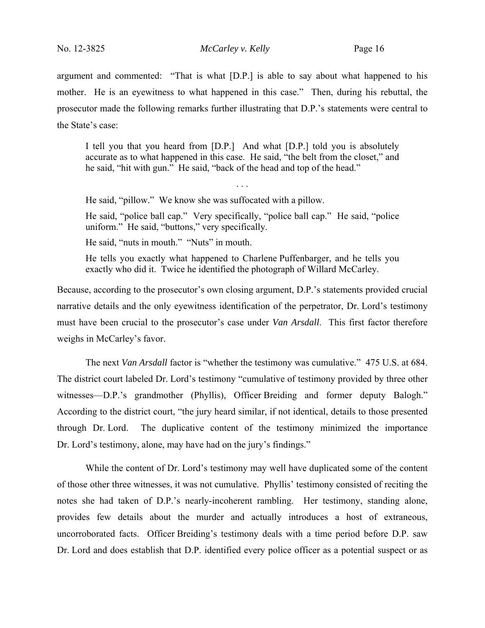argument and commented: "That is what [D.P.] is able to say about what happened to his mother. He is an eyewitness to what happened in this case." Then, during his rebuttal, the prosecutor made the following remarks further illustrating that D.P.'s statements were central to the State's case:

I tell you that you heard from [D.P.] And what [D.P.] told you is absolutely accurate as to what happened in this case. He said, "the belt from the closet," and he said, "hit with gun." He said, "back of the head and top of the head."

. . .

He said, "pillow." We know she was suffocated with a pillow.

He said, "police ball cap." Very specifically, "police ball cap." He said, "police uniform." He said, "buttons," very specifically.

He said, "nuts in mouth." "Nuts" in mouth.

He tells you exactly what happened to Charlene Puffenbarger, and he tells you exactly who did it. Twice he identified the photograph of Willard McCarley.

Because, according to the prosecutor's own closing argument, D.P.'s statements provided crucial narrative details and the only eyewitness identification of the perpetrator, Dr. Lord's testimony must have been crucial to the prosecutor's case under *Van Arsdall*. This first factor therefore weighs in McCarley's favor.

The next *Van Arsdall* factor is "whether the testimony was cumulative." 475 U.S. at 684. The district court labeled Dr. Lord's testimony "cumulative of testimony provided by three other witnesses—D.P.'s grandmother (Phyllis), Officer Breiding and former deputy Balogh." According to the district court, "the jury heard similar, if not identical, details to those presented through Dr. Lord. The duplicative content of the testimony minimized the importance Dr. Lord's testimony, alone, may have had on the jury's findings."

While the content of Dr. Lord's testimony may well have duplicated some of the content of those other three witnesses, it was not cumulative. Phyllis' testimony consisted of reciting the notes she had taken of D.P.'s nearly-incoherent rambling. Her testimony, standing alone, provides few details about the murder and actually introduces a host of extraneous, uncorroborated facts. Officer Breiding's testimony deals with a time period before D.P. saw Dr. Lord and does establish that D.P. identified every police officer as a potential suspect or as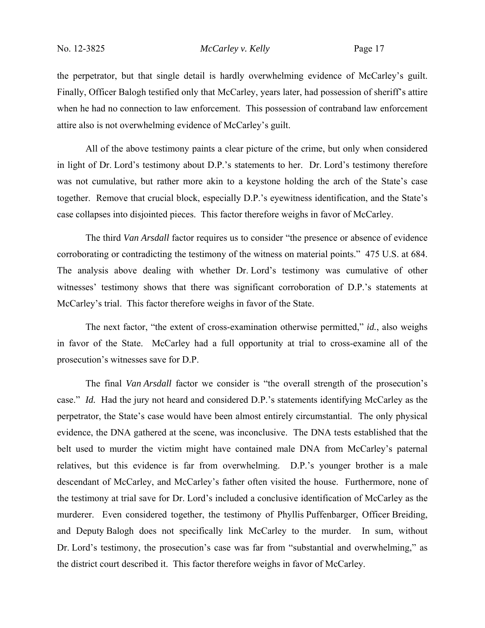the perpetrator, but that single detail is hardly overwhelming evidence of McCarley's guilt. Finally, Officer Balogh testified only that McCarley, years later, had possession of sheriff's attire when he had no connection to law enforcement. This possession of contraband law enforcement attire also is not overwhelming evidence of McCarley's guilt.

All of the above testimony paints a clear picture of the crime, but only when considered in light of Dr. Lord's testimony about D.P.'s statements to her. Dr. Lord's testimony therefore was not cumulative, but rather more akin to a keystone holding the arch of the State's case together. Remove that crucial block, especially D.P.'s eyewitness identification, and the State's case collapses into disjointed pieces. This factor therefore weighs in favor of McCarley.

The third *Van Arsdall* factor requires us to consider "the presence or absence of evidence corroborating or contradicting the testimony of the witness on material points." 475 U.S. at 684. The analysis above dealing with whether Dr. Lord's testimony was cumulative of other witnesses' testimony shows that there was significant corroboration of D.P.'s statements at McCarley's trial. This factor therefore weighs in favor of the State.

The next factor, "the extent of cross-examination otherwise permitted," *id.*, also weighs in favor of the State. McCarley had a full opportunity at trial to cross-examine all of the prosecution's witnesses save for D.P.

The final *Van Arsdall* factor we consider is "the overall strength of the prosecution's case." *Id.* Had the jury not heard and considered D.P.'s statements identifying McCarley as the perpetrator, the State's case would have been almost entirely circumstantial. The only physical evidence, the DNA gathered at the scene, was inconclusive. The DNA tests established that the belt used to murder the victim might have contained male DNA from McCarley's paternal relatives, but this evidence is far from overwhelming. D.P.'s younger brother is a male descendant of McCarley, and McCarley's father often visited the house. Furthermore, none of the testimony at trial save for Dr. Lord's included a conclusive identification of McCarley as the murderer. Even considered together, the testimony of Phyllis Puffenbarger, Officer Breiding, and Deputy Balogh does not specifically link McCarley to the murder. In sum, without Dr. Lord's testimony, the prosecution's case was far from "substantial and overwhelming," as the district court described it. This factor therefore weighs in favor of McCarley.